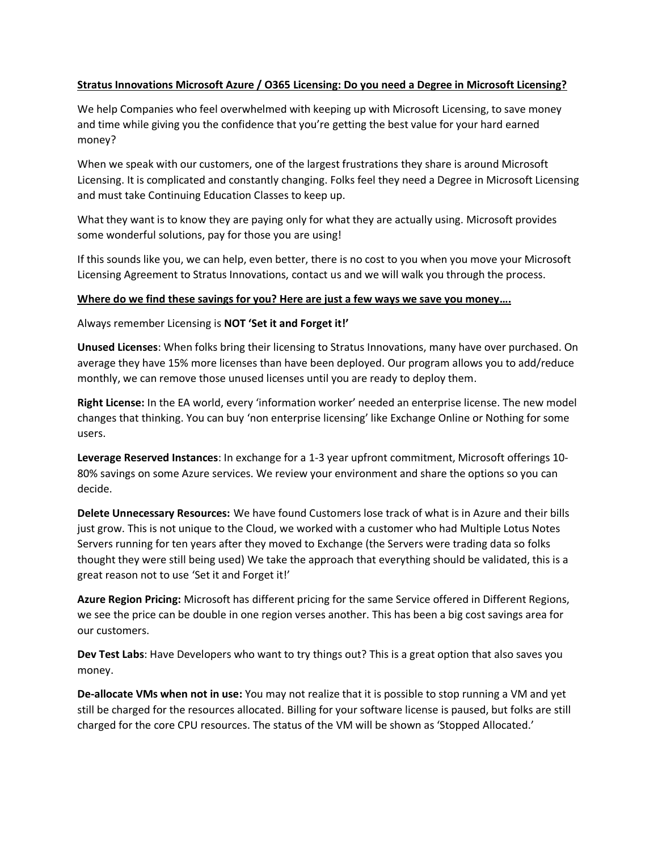## **Stratus Innovations Microsoft Azure / O365 Licensing: Do you need a Degree in Microsoft Licensing?**

We help Companies who feel overwhelmed with keeping up with Microsoft Licensing, to save money and time while giving you the confidence that you're getting the best value for your hard earned money?

When we speak with our customers, one of the largest frustrations they share is around Microsoft Licensing. It is complicated and constantly changing. Folks feel they need a Degree in Microsoft Licensing and must take Continuing Education Classes to keep up.

What they want is to know they are paying only for what they are actually using. Microsoft provides some wonderful solutions, pay for those you are using!

If this sounds like you, we can help, even better, there is no cost to you when you move your Microsoft Licensing Agreement to Stratus Innovations, contact us and we will walk you through the process.

## **Where do we find these savings for you? Here are just a few ways we save you money….**

Always remember Licensing is **NOT 'Set it and Forget it!'**

**Unused Licenses**: When folks bring their licensing to Stratus Innovations, many have over purchased. On average they have 15% more licenses than have been deployed. Our program allows you to add/reduce monthly, we can remove those unused licenses until you are ready to deploy them.

**Right License:** In the EA world, every 'information worker' needed an enterprise license. The new model changes that thinking. You can buy 'non enterprise licensing' like Exchange Online or Nothing for some users.

**Leverage Reserved Instances**: In exchange for a 1-3 year upfront commitment, Microsoft offerings 10- 80% savings on some Azure services. We review your environment and share the options so you can decide.

**Delete Unnecessary Resources:** We have found Customers lose track of what is in Azure and their bills just grow. This is not unique to the Cloud, we worked with a customer who had Multiple Lotus Notes Servers running for ten years after they moved to Exchange (the Servers were trading data so folks thought they were still being used) We take the approach that everything should be validated, this is a great reason not to use 'Set it and Forget it!'

**Azure Region Pricing:** Microsoft has different pricing for the same Service offered in Different Regions, we see the price can be double in one region verses another. This has been a big cost savings area for our customers.

**Dev Test Labs**: Have Developers who want to try things out? This is a great option that also saves you money.

**De-allocate VMs when not in use:** You may not realize that it is possible to stop running a VM and yet still be charged for the resources allocated. Billing for your software license is paused, but folks are still charged for the core CPU resources. The status of the VM will be shown as 'Stopped Allocated.'